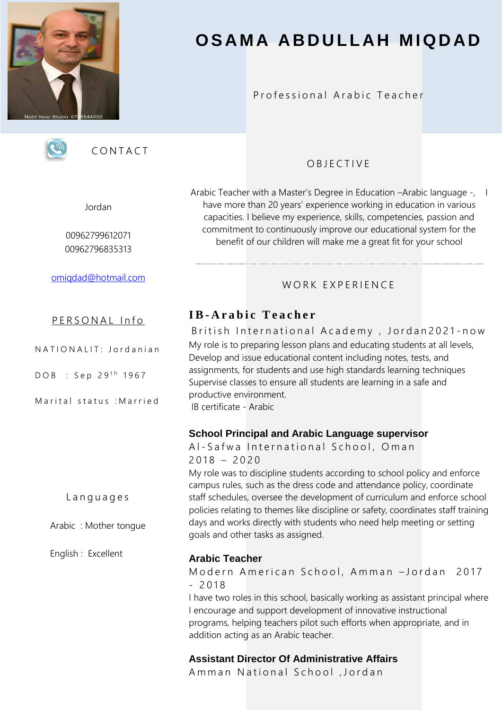

# **O S A M A A B D U L L A H M I Q D A D**

#### Professional Arabic Teacher



**CONTACT** 

#### Jordan

00962799612071 00962796835313

[omiqdad@hotmail.com](mailto:omiqdad@hotmail.com)

#### PERSONAL Info

N A T I O N A L I T: J ord a n i a n

 $DOB : Sep 29<sup>th</sup> 1967$ 

Marital status : Married

L a n g u a g e s

Arabic : Mother tongue

English : Excellent

# O B J E C T I V E

Arabic Teacher with a Master's Degree in Education -Arabic language -, I have more than 20 years' experience working in education in various capacities. I believe my experience, skills, competencies, passion and commitment to continuously improve our educational system for the benefit of our children will make me a great fit for your school

## WORK FXPFRIFNCF

# **I B- A r a b i c T e a c h e r**

British International Academy, Jordan2021-now My role is to preparing lesson plans and educating students at all levels, Develop and issue educational content including notes, tests, and assignments, for students and use high standards learning techniques Supervise classes to ensure all students are learning in a safe and productive environment.

IB certificate - Arabic

#### **School Principal and Arabic Language supervisor**

Al-Safwa International School, Oman  $2018 - 2020$ My role was to discipline students according to school policy and enforce campus rules, such as the dress code and attendance policy, coordinate staff schedules, oversee the development of curriculum and enforce school policies relating to themes like discipline or safety, coordinates staff training days and works directly with students who need help meeting or setting goals and other tasks as assigned.

#### **Arabic Teacher**

Modern American School, Amman -Jordan 2017  $-2018$ 

I have two roles in this school, basically working as assistant principal where I encourage and support development of innovative instructional programs, helping teachers pilot such efforts when appropriate, and in addition acting as an Arabic teacher.

# **Assistant Director Of Administrative Affairs**

Amman National School, Jordan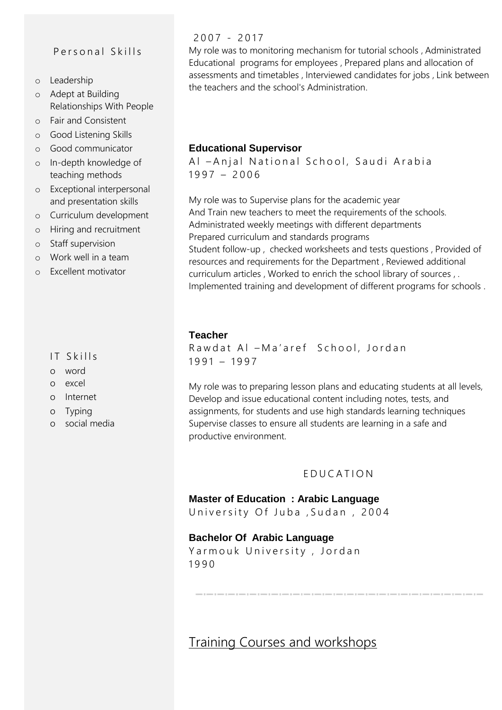## Personal Skills

- o Leadership
- o Adept at Building Relationships With People
- o Fair and Consistent
- o Good Listening Skills
- o Good communicator
- o In-depth knowledge of teaching methods
- o Exceptional interpersonal and presentation skills
- o Curriculum development
- o Hiring and recruitment
- o Staff supervision
- o Work well in a team
- o Excellent motivator

#### IT Skills

- o word
- o excel
- o Internet
- o Typing
- o social media

#### $2007 - 2017$

My role was to monitoring mechanism for tutorial schools , Administrated Educational programs for employees , Prepared plans and allocation of assessments and timetables , Interviewed candidates for jobs , Link between the teachers and the school's Administration.

#### **Educational Supervisor**

Al - Anjal National School, Saudi Arabia  $1997 - 2006$ 

My role was to Supervise plans for the academic year And Train new teachers to meet the requirements of the schools. Administrated weekly meetings with different departments Prepared curriculum and standards programs Student follow-up , checked worksheets and tests questions , Provided of resources and requirements for the Department , Reviewed additional curriculum articles , Worked to enrich the school library of sources , . Implemented training and development of different programs for schools .

#### **Teacher**

Rawdat Al - Ma'aref School, Jordan  $1991 - 1997$ 

My role was to preparing lesson plans and educating students at all levels, Develop and issue educational content including notes, tests, and assignments, for students and use high standards learning techniques Supervise classes to ensure all students are learning in a safe and productive environment.

#### E D U C A T I O N

#### **Master of Education : Arabic Language**

University Of Juba, Sudan, 2004

#### **Bachelor Of Arabic Language**

Yarmouk University, Jordan 1 9 9 0

Training Courses and workshops